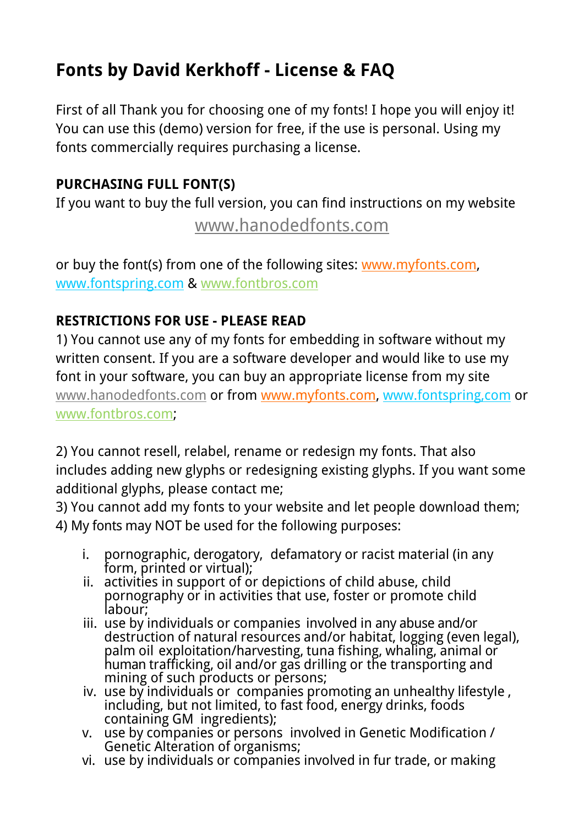## **Fonts by David Kerkhoff - License & FAQ**

First of all Thank you for choosing one of my fonts! I hope you will enjoy it! You can use this (demo) version for free, if the use is personal. Using my fonts commercially requires purchasing a license.

## **PURCHASING FULL FONT(S)**

If you want to buy the full version, you can find instructions on my website

[www.hanodedfonts.com](http://www.hanodedfonts.com)

or buy the font(s) from one of the following sites: [www.myfonts.com](http://www.myfonts.com/search/hanoded/fonts/?refby=david_kerkhoff), [www.fontspring.com](http://www.fontspring.com/foundry/hanoded) & [www.fontbros.com](http://www.fontbros.com/foundries/hanoded)

## **RESTRICTIONS FOR USE - PLEASE READ**

1) You cannot use any of my fonts for embedding in software without my written consent. If you are a software developer and would like to use my font in your software, you can buy an appropriate license from my site [www.hanodedfonts.com](http://www.hanodedfonts.com) or from [www.myfonts.com](http://www.myfonts.com/search/hanoded/fonts/?refby=david_kerkhoff), [www.fontspring,com](http://www.fontspring.com/foundry/hanoded) or [www.fontbros.com;](http://www.fontbros.com/foundries/hanoded)

2) You cannot resell, relabel, rename or redesign my fonts. That also includes adding new glyphs or redesigning existing glyphs. If you want some additional glyphs, please contact me;

3) You cannot add my fonts to your website and let people download them; 4) My fonts may NOT be used for the following purposes:

- i. pornographic, derogatory, defamatory or racist material (in any form, printed or virtual);
- $ii.$  activities in support of or depictions of child abuse, child pornography or in activities that use, foster or promote child labour;
- iii. use by individuals or companies involved in any abuse and/or destruction of natural resources and/or habitat, logging (even legal), palm oil exploitation/harvesting, tuna fishing, whaling, animal or human trafficking, oil and/or gas drilling or the transporting and mining of such products or persons;
- iv. use by individuals or companies promoting an unhealthy lifestyle , including, but not limited, to fast food, energy drinks, foods containing GM ingredients);
	- v. use by companies or persons involved in Genetic Modification / Genetic Alteration of organisms;
	- vi. use by individuals or companies involved in fur trade, or making